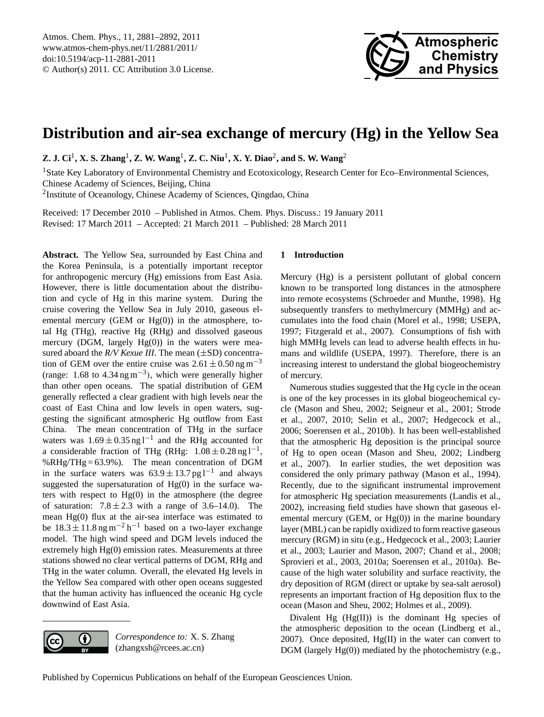

# <span id="page-0-0"></span>**Distribution and air-sea exchange of mercury (Hg) in the Yellow Sea**

**Z. J. Ci**<sup>1</sup> **, X. S. Zhang**<sup>1</sup> **, Z. W. Wang**<sup>1</sup> **, Z. C. Niu**<sup>1</sup> **, X. Y. Diao**<sup>2</sup> **, and S. W. Wang**<sup>2</sup>

<sup>1</sup>State Key Laboratory of Environmental Chemistry and Ecotoxicology, Research Center for Eco–Environmental Sciences, Chinese Academy of Sciences, Beijing, China

<sup>2</sup>Institute of Oceanology, Chinese Academy of Sciences, Qingdao, China

Received: 17 December 2010 – Published in Atmos. Chem. Phys. Discuss.: 19 January 2011 Revised: 17 March 2011 – Accepted: 21 March 2011 – Published: 28 March 2011

**Abstract.** The Yellow Sea, surrounded by East China and the Korea Peninsula, is a potentially important receptor for anthropogenic mercury (Hg) emissions from East Asia. However, there is little documentation about the distribution and cycle of Hg in this marine system. During the cruise covering the Yellow Sea in July 2010, gaseous elemental mercury (GEM or Hg(0)) in the atmosphere, total Hg (THg), reactive Hg (RHg) and dissolved gaseous mercury (DGM, largely  $Hg(0)$ ) in the waters were measured aboard the *R/V Kexue III*. The mean ( $\pm$ SD) concentration of GEM over the entire cruise was  $2.61 \pm 0.50$  ng m<sup>-3</sup> (range: 1.68 to  $4.34$  ng m<sup>-3</sup>), which were generally higher than other open oceans. The spatial distribution of GEM generally reflected a clear gradient with high levels near the coast of East China and low levels in open waters, suggesting the significant atmospheric Hg outflow from East China. The mean concentration of THg in the surface waters was  $1.69 \pm 0.35$  ng l<sup>-1</sup> and the RHg accounted for a considerable fraction of THg (RHg:  $1.08 \pm 0.28$  ng l<sup>-1</sup>, %RHg/THg = 63.9%). The mean concentration of DGM in the surface waters was  $63.9 \pm 13.7$  pg l<sup>-1</sup> and always suggested the supersaturation of  $Hg(0)$  in the surface waters with respect to  $Hg(0)$  in the atmosphere (the degree of saturation:  $7.8 \pm 2.3$  with a range of 3.6–14.0). The mean Hg(0) flux at the air-sea interface was estimated to be  $18.3 \pm 11.8$  ng m<sup>-2</sup> h<sup>-1</sup> based on a two-layer exchange model. The high wind speed and DGM levels induced the extremely high Hg(0) emission rates. Measurements at three stations showed no clear vertical patterns of DGM, RHg and THg in the water column. Overall, the elevated Hg levels in the Yellow Sea compared with other open oceans suggested that the human activity has influenced the oceanic Hg cycle downwind of East Asia.

### **1 Introduction**

Mercury (Hg) is a persistent pollutant of global concern known to be transported long distances in the atmosphere into remote ecosystems (Schroeder and Munthe, 1998). Hg subsequently transfers to methylmercury (MMHg) and accumulates into the food chain (Morel et al., 1998; USEPA, 1997; Fitzgerald et al., 2007). Consumptions of fish with high MMHg levels can lead to adverse health effects in humans and wildlife (USEPA, 1997). Therefore, there is an increasing interest to understand the global biogeochemistry of mercury.

Numerous studies suggested that the Hg cycle in the ocean is one of the key processes in its global biogeochemical cycle (Mason and Sheu, 2002; Seigneur et al., 2001; Strode et al., 2007, 2010; Selin et al., 2007; Hedgecock et al., 2006; Soerensen et al., 2010b). It has been well-established that the atmospheric Hg deposition is the principal source of Hg to open ocean (Mason and Sheu, 2002; Lindberg et al., 2007). In earlier studies, the wet deposition was considered the only primary pathway (Mason et al., 1994). Recently, due to the significant instrumental improvement for atmospheric Hg speciation measurements (Landis et al., 2002), increasing field studies have shown that gaseous elemental mercury (GEM, or  $Hg(0)$ ) in the marine boundary layer (MBL) can be rapidly oxidized to form reactive gaseous mercury (RGM) in situ (e.g., Hedgecock et al., 2003; Laurier et al., 2003; Laurier and Mason, 2007; Chand et al., 2008; Sprovieri et al., 2003, 2010a; Soerensen et al., 2010a). Because of the high water solubility and surface reactivity, the dry deposition of RGM (direct or uptake by sea-salt aerosol) represents an important fraction of Hg deposition flux to the ocean (Mason and Sheu, 2002; Holmes et al., 2009).

Divalent Hg (Hg(II)) is the dominant Hg species of the atmospheric deposition to the ocean (Lindberg et al., 2007). Once deposited, Hg(II) in the water can convert to DGM (largely Hg(0)) mediated by the photochemistry (e.g.,



*Correspondence to:* X. S. Zhang (zhangxsh@rcees.ac.cn)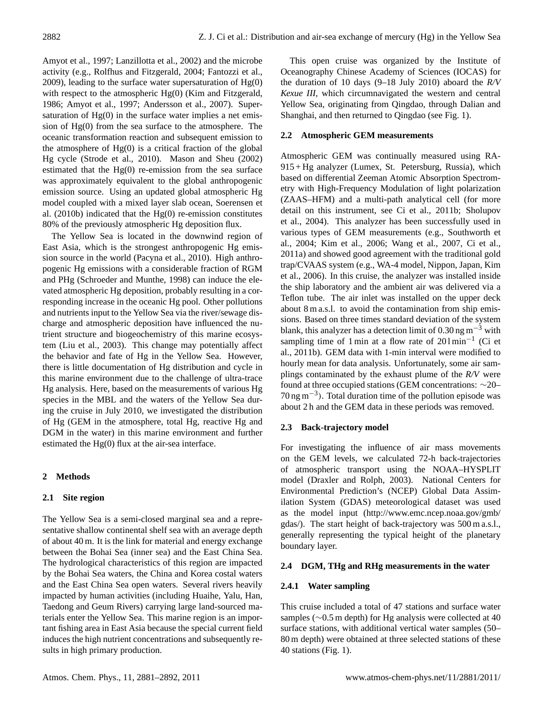Amyot et al., 1997; Lanzillotta et al., 2002) and the microbe activity (e.g., Rolfhus and Fitzgerald, 2004; Fantozzi et al., 2009), leading to the surface water supersaturation of Hg(0) with respect to the atmospheric Hg(0) (Kim and Fitzgerald, 1986; Amyot et al., 1997; Andersson et al., 2007). Supersaturation of  $Hg(0)$  in the surface water implies a net emission of Hg(0) from the sea surface to the atmosphere. The oceanic transformation reaction and subsequent emission to the atmosphere of  $Hg(0)$  is a critical fraction of the global Hg cycle (Strode et al., 2010). Mason and Sheu (2002) estimated that the  $Hg(0)$  re-emission from the sea surface was approximately equivalent to the global anthropogenic emission source. Using an updated global atmospheric Hg model coupled with a mixed layer slab ocean, Soerensen et al. (2010b) indicated that the Hg(0) re-emission constitutes 80% of the previously atmospheric Hg deposition flux.

The Yellow Sea is located in the downwind region of East Asia, which is the strongest anthropogenic Hg emission source in the world (Pacyna et al., 2010). High anthropogenic Hg emissions with a considerable fraction of RGM and PHg (Schroeder and Munthe, 1998) can induce the elevated atmospheric Hg deposition, probably resulting in a corresponding increase in the oceanic Hg pool. Other pollutions and nutrients input to the Yellow Sea via the river/sewage discharge and atmospheric deposition have influenced the nutrient structure and biogeochemistry of this marine ecosystem (Liu et al., 2003). This change may potentially affect the behavior and fate of Hg in the Yellow Sea. However, there is little documentation of Hg distribution and cycle in this marine environment due to the challenge of ultra-trace Hg analysis. Here, based on the measurements of various Hg species in the MBL and the waters of the Yellow Sea during the cruise in July 2010, we investigated the distribution of Hg (GEM in the atmosphere, total Hg, reactive Hg and DGM in the water) in this marine environment and further estimated the Hg(0) flux at the air-sea interface.

# **2 Methods**

# **2.1 Site region**

The Yellow Sea is a semi-closed marginal sea and a representative shallow continental shelf sea with an average depth of about 40 m. It is the link for material and energy exchange between the Bohai Sea (inner sea) and the East China Sea. The hydrological characteristics of this region are impacted by the Bohai Sea waters, the China and Korea costal waters and the East China Sea open waters. Several rivers heavily impacted by human activities (including Huaihe, Yalu, Han, Taedong and Geum Rivers) carrying large land-sourced materials enter the Yellow Sea. This marine region is an important fishing area in East Asia because the special current field induces the high nutrient concentrations and subsequently results in high primary production.

This open cruise was organized by the Institute of Oceanography Chinese Academy of Sciences (IOCAS) for the duration of 10 days (9–18 July 2010) aboard the *R/V Kexue III*, which circumnavigated the western and central Yellow Sea, originating from Qingdao, through Dalian and Shanghai, and then returned to Qingdao (see Fig. 1).

## **2.2 Atmospheric GEM measurements**

Atmospheric GEM was continually measured using RA-915 + Hg analyzer (Lumex, St. Petersburg, Russia), which based on differential Zeeman Atomic Absorption Spectrometry with High-Frequency Modulation of light polarization (ZAAS–HFM) and a multi-path analytical cell (for more detail on this instrument, see Ci et al., 2011b; Sholupov et al., 2004). This analyzer has been successfully used in various types of GEM measurements (e.g., Southworth et al., 2004; Kim et al., 2006; Wang et al., 2007, Ci et al., 2011a) and showed good agreement with the traditional gold trap/CVAAS system (e.g., WA-4 model, Nippon, Japan, Kim et al., 2006). In this cruise, the analyzer was installed inside the ship laboratory and the ambient air was delivered via a Teflon tube. The air inlet was installed on the upper deck about 8 m a.s.l. to avoid the contamination from ship emissions. Based on three times standard deviation of the system blank, this analyzer has a detection limit of 0.30 ng m<sup>-3</sup> with sampling time of 1 min at a flow rate of 201min<sup>-1</sup> (Ci et al., 2011b). GEM data with 1-min interval were modified to hourly mean for data analysis. Unfortunately, some air samplings contaminated by the exhaust plume of the *R/V* were found at three occupied stations (GEM concentrations: ∼20– 70 ng m−<sup>3</sup> ). Total duration time of the pollution episode was about 2 h and the GEM data in these periods was removed.

# **2.3 Back-trajectory model**

For investigating the influence of air mass movements on the GEM levels, we calculated 72-h back-trajectories of atmospheric transport using the NOAA–HYSPLIT model (Draxler and Rolph, 2003). National Centers for Environmental Prediction's (NCEP) Global Data Assimilation System (GDAS) meteorological dataset was used as the model input [\(http://www.emc.ncep.noaa.gov/gmb/](http://www.emc.ncep.noaa.gov/gmb/gdas/) [gdas/\)](http://www.emc.ncep.noaa.gov/gmb/gdas/). The start height of back-trajectory was 500 m a.s.l., generally representing the typical height of the planetary boundary layer.

## **2.4 DGM, THg and RHg measurements in the water**

# **2.4.1 Water sampling**

This cruise included a total of 47 stations and surface water samples (∼0.5 m depth) for Hg analysis were collected at 40 surface stations, with additional vertical water samples (50– 80 m depth) were obtained at three selected stations of these 40 stations (Fig. 1).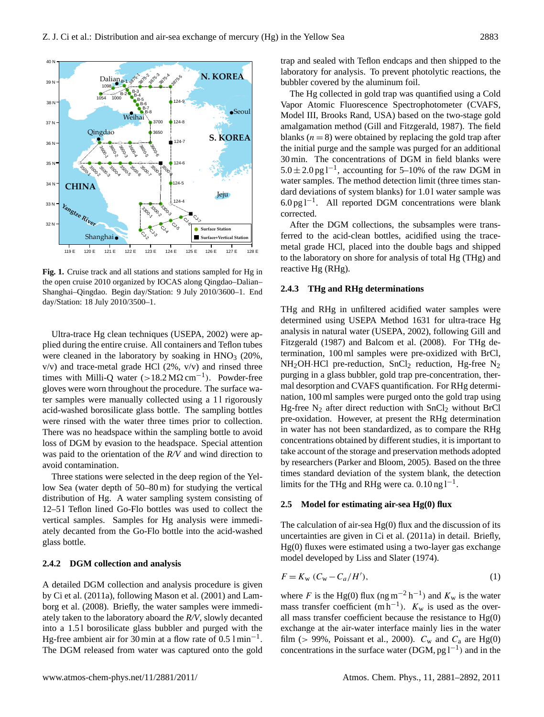

**Figure 1.** Cruise track and stations and stations and stations sampled for Hg in the open cruise day/Station: 18 July 2010/3500–1. **Fig. 1.** Cruise track and all stations and stations sampled for Hg in the open cruise 2010 organized by IOCAS along Qingdao–Dalian– Shanghai–Qingdao. Begin day/Station: 9 July 2010/3600–1. End

Ultra-trace Hg clean techniques (USEPA, 2002) were applied during the entire cruise. All containers and Teflon tubes were cleaned in the laboratory by soaking in  $HNO<sub>3</sub>$  (20%, v/v) and trace-metal grade HCl (2%, v/v) and rinsed three times with Milli-Q water  $(>18.2 M\Omega \text{ cm}^{-1})$ . Powder-free gloves were worn throughout the procedure. The surface water samples were manually collected using a 11 rigorously acid-washed borosilicate glass bottle. The sampling bottles were rinsed with the water three times prior to collection. There was no headspace within the sampling bottle to avoid loss of DGM by evasion to the headspace. Special attention was paid to the orientation of the *R/V* and wind direction to avoid contamination.

> Three stations were selected in the deep region of the Yellow Sea (water depth of 50–80 m) for studying the vertical distribution of Hg. A water sampling system consisting of 12–5 l Teflon lined Go-Flo bottles was used to collect the vertical samples. Samples for Hg analysis were immediately decanted from the Go-Flo bottle into the acid-washed glass bottle.

### **2.4.2 DGM collection and analysis**

A detailed DGM collection and analysis procedure is given by Ci et al. (2011a), following Mason et al. (2001) and Lamborg et al. (2008). Briefly, the water samples were immediately taken to the laboratory aboard the *R/V*, slowly decanted into a 1.5 l borosilicate glass bubbler and purged with the Hg-free ambient air for 30 min at a flow rate of 0.5 l min−<sup>1</sup> . The DGM released from water was captured onto the gold trap and sealed with Teflon endcaps and then shipped to the laboratory for analysis. To prevent photolytic reactions, the bubbler covered by the aluminum foil.

The Hg collected in gold trap was quantified using a Cold Vapor Atomic Fluorescence Spectrophotometer (CVAFS, Model III, Brooks Rand, USA) based on the two-stage gold amalgamation method (Gill and Fitzgerald, 1987). The field blanks  $(n = 8)$  were obtained by replacing the gold trap after the initial purge and the sample was purged for an additional 30 min. The concentrations of DGM in field blanks were  $5.0 \pm 2.0$  pg l<sup>-1</sup>, accounting for 5–10% of the raw DGM in water samples. The method detection limit (three times standard deviations of system blanks) for 1.01 water sample was 6.0 pg l−<sup>1</sup> . All reported DGM concentrations were blank corrected.

After the DGM collections, the subsamples were transferred to the acid-clean bottles, acidified using the tracemetal grade HCl, placed into the double bags and shipped to the laboratory on shore for analysis of total Hg (THg) and reactive Hg (RHg).

#### **2.4.3 THg and RHg determinations**

2010 organized by IOCAS along Qingdao–Dalian–Shanghai–Qingdao–Dalian–Shanghai–Qingdao–Dalian–Shanghai–Qingdao. Beginning THg and RHg in unfiltered acidified water samples were determined using USEPA Method 1631 for ultra-trace Hg analysis in natural water (USEPA, 2002), following Gill and Fitzgerald (1987) and Balcom et al. (2008). For THg determination, 100 ml samples were pre-oxidized with BrCl,  $NH<sub>2</sub>OH·HCl$  pre-reduction,  $SnCl<sub>2</sub>$  reduction, Hg-free N<sub>2</sub> purging in a glass bubbler, gold trap pre-concentration, thermal desorption and CVAFS quantification. For RHg determination, 100 ml samples were purged onto the gold trap using Hg-free  $N_2$  after direct reduction with  $SnCl<sub>2</sub>$  without BrCl pre-oxidation. However, at present the RHg determination in water has not been standardized, as to compare the RHg concentrations obtained by different studies, it is important to take account of the storage and preservation methods adopted by researchers (Parker and Bloom, 2005). Based on the three times standard deviation of the system blank, the detection limits for the THg and RHg were ca.  $0.10$  ng  $l^{-1}$ .

### **2.5 Model for estimating air-sea Hg(0) flux**

The calculation of air-sea  $Hg(0)$  flux and the discussion of its uncertainties are given in Ci et al. (2011a) in detail. Briefly, Hg(0) fluxes were estimated using a two-layer gas exchange model developed by Liss and Slater (1974).

$$
F = K_{\rm w} \left( C_{\rm w} - C_a / H' \right),\tag{1}
$$

mass transfer coefficient  $(m h^{-1})$ .  $K_w$  is used as the overwhere F is the Hg(0) flux (ng m<sup>-2</sup> h<sup>-1</sup>) and  $K_w$  is the water all mass transfer coefficient because the resistance to Hg(0) exchange at the air-water interface mainly lies in the water film (> 99%, Poissant et al., 2000).  $C_w$  and  $C_a$  are Hg(0) concentrations in the surface water (DGM,  $pg l^{-1}$ ) and in the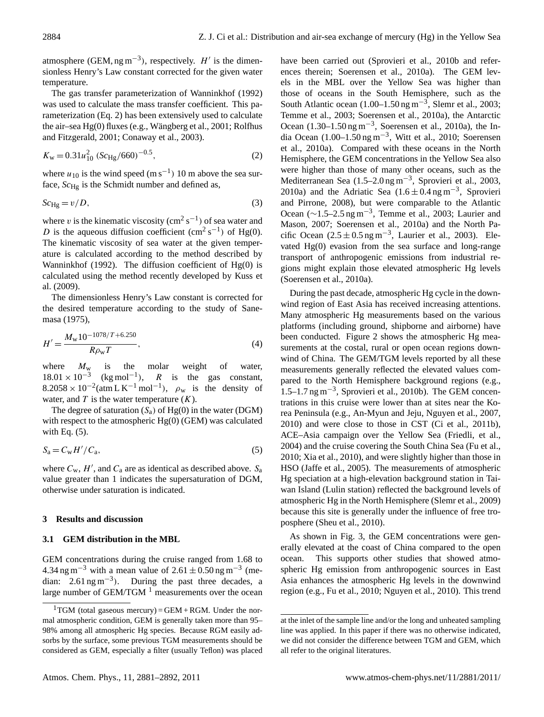atmosphere (GEM, ng m<sup>-3</sup>), respectively.  $H'$  is the dimensionless Henry's Law constant corrected for the given water temperature.

The gas transfer parameterization of Wanninkhof (1992) was used to calculate the mass transfer coefficient. This parameterization (Eq. [2\)](#page-3-0) has been extensively used to calculate the air–sea  $Hg(0)$  fluxes (e.g., Wängberg et al., 2001; Rolfhus and Fitzgerald, 2001; Conaway et al., 2003).

<span id="page-3-0"></span>
$$
K_{\rm w} = 0.31u_{10}^2 \left(Sc_{\rm Hg}/660\right)^{-0.5},\tag{2}
$$

where  $u_{10}$  is the wind speed (m s<sup>-1</sup>) 10 m above the sea surface,  $Sc_{\text{Hg}}$  is the Schmidt number and defined as,

$$
Sc_{\text{Hg}} = v/D,\tag{3}
$$

where v is the kinematic viscosity  $\rm (cm^2\,s^{-1})$  of sea water and D is the aqueous diffusion coefficient  $(cm^2 s^{-1})$  of Hg(0). The kinematic viscosity of sea water at the given temperature is calculated according to the method described by Wanninkhof (1992). The diffusion coefficient of  $Hg(0)$  is calculated using the method recently developed by Kuss et al. (2009).

The dimensionless Henry's Law constant is corrected for the desired temperature according to the study of Sanemasa (1975),

$$
H' = \frac{M_{\rm w} 10^{-1078/T + 6.250}}{R \rho_{\rm w} T},
$$
\n(4)

where  $M_w$  is the molar weight of water,  $18.01 \times 10^{-3}$  (kg mol<sup>-1</sup>), R is the gas constant,  $8.2058 \times 10^{-2}$ (atm L K<sup>-1</sup> mol<sup>-1</sup>),  $\rho_w$  is the density of water, and  $T$  is the water temperature  $(K)$ .

The degree of saturation  $(S_a)$  of Hg(0) in the water (DGM) with respect to the atmospheric Hg(0) (GEM) was calculated with Eq.  $(5)$ .

<span id="page-3-1"></span>
$$
S_a = C_w H' / C_a,\tag{5}
$$

where  $C_w$ , H', and  $C_a$  are as identical as described above.  $S_a$ value greater than 1 indicates the supersaturation of DGM, otherwise under saturation is indicated.

## **3 Results and discussion**

## **3.1 GEM distribution in the MBL**

GEM concentrations during the cruise ranged from 1.68 to 4.34 ng m<sup>-3</sup> with a mean value of  $2.61 \pm 0.50$  ng m<sup>-3</sup> (median:  $2.61 \text{ ng m}^{-3}$ ). During the past three decades, a large number of GEM/TGM  $<sup>1</sup>$  $<sup>1</sup>$  $<sup>1</sup>$  measurements over the ocean</sup> have been carried out (Sprovieri et al., 2010b and references therein; Soerensen et al., 2010a). The GEM levels in the MBL over the Yellow Sea was higher than those of oceans in the South Hemisphere, such as the South Atlantic ocean  $(1.00-1.50 \text{ ng m}^{-3})$ , Slemr et al., 2003; Temme et al., 2003; Soerensen et al., 2010a), the Antarctic Ocean (1.30–1.50 ng m−<sup>3</sup> , Soerensen et al., 2010a), the India Ocean (1.00–1.50 ng m−<sup>3</sup> , Witt et al., 2010; Soerensen et al., 2010a). Compared with these oceans in the North Hemisphere, the GEM concentrations in the Yellow Sea also were higher than those of many other oceans, such as the Mediterranean Sea (1.5–2.0 ng m−<sup>3</sup> , Sprovieri et al., 2003, 2010a) and the Adriatic Sea  $(1.6 \pm 0.4 \,\text{ng m}^{-3})$ , Sprovieri and Pirrone, 2008), but were comparable to the Atlantic Ocean (∼1.5–2.5 ng m−<sup>3</sup> , Temme et al., 2003; Laurier and Mason, 2007; Soerensen et al., 2010a) and the North Pacific Ocean  $(2.5 \pm 0.5 \,\text{ng m}^{-3})$ , Laurier et al., 2003). Elevated  $Hg(0)$  evasion from the sea surface and long-range transport of anthropogenic emissions from industrial regions might explain those elevated atmospheric Hg levels (Soerensen et al., 2010a).

During the past decade, atmospheric Hg cycle in the downwind region of East Asia has received increasing attentions. Many atmospheric Hg measurements based on the various platforms (including ground, shipborne and airborne) have been conducted. Figure 2 shows the atmospheric Hg measurements at the costal, rural or open ocean regions downwind of China. The GEM/TGM levels reported by all these measurements generally reflected the elevated values compared to the North Hemisphere background regions (e.g., 1.5–1.7 ng m−<sup>3</sup> , Sprovieri et al., 2010b). The GEM concentrations in this cruise were lower than at sites near the Korea Peninsula (e.g., An-Myun and Jeju, Nguyen et al., 2007, 2010) and were close to those in CST (Ci et al., 2011b), ACE–Asia campaign over the Yellow Sea (Friedli, et al., 2004) and the cruise covering the South China Sea (Fu et al., 2010; Xia et al., 2010), and were slightly higher than those in HSO (Jaffe et al., 2005). The measurements of atmospheric Hg speciation at a high-elevation background station in Taiwan Island (Lulin station) reflected the background levels of atmospheric Hg in the North Hemisphere (Slemr et al., 2009) because this site is generally under the influence of free troposphere (Sheu et al., 2010).

As shown in Fig. 3, the GEM concentrations were generally elevated at the coast of China compared to the open ocean. This supports other studies that showed atmospheric Hg emission from anthropogenic sources in East Asia enhances the atmospheric Hg levels in the downwind region (e.g., Fu et al., 2010; Nguyen et al., 2010). This trend

<span id="page-3-2"></span><sup>&</sup>lt;sup>1</sup>TGM (total gaseous mercury) = GEM + RGM. Under the normal atmospheric condition, GEM is generally taken more than 95– 98% among all atmospheric Hg species. Because RGM easily adsorbs by the surface, some previous TGM measurements should be considered as GEM, especially a filter (usually Teflon) was placed

at the inlet of the sample line and/or the long and unheated sampling line was applied. In this paper if there was no otherwise indicated, we did not consider the difference between TGM and GEM, which all refer to the original literatures.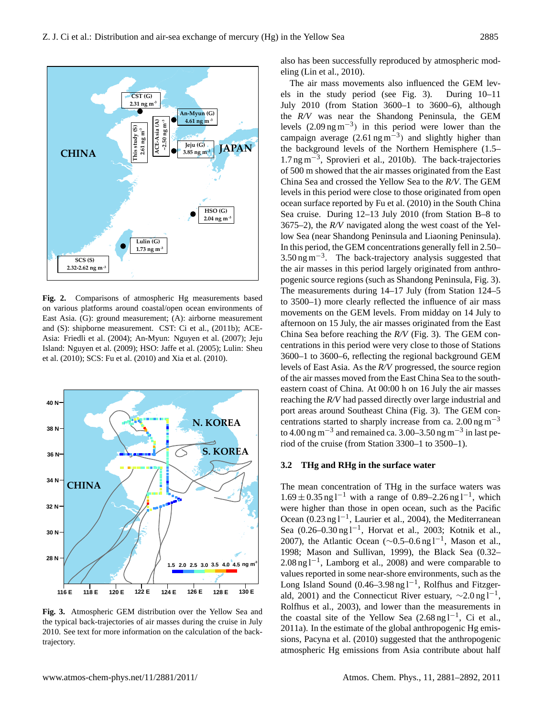

and (S): shipborne measurement. CST: Ci et al., (2011b); ACE- $\frac{\text{a}}{\text{c}}$ Island: Nguyen et al. (2009); HSO: Jaffe et al. (2005); Lulin: Sheu centrations in t **Fig. 2.** Comparisons of atmospheric Hg measurements based on various platforms around coastal/open ocean environments of East Asia. (G): ground measurement; (A): airborne measurement Asia: Friedli et al. (2004); An-Myun: Nguyen et al. (2007); Jeju et al. (2010); SCS: Fu et al. (2010) and Xia et al. (2010).



traiectory. **Figure 3.** Atmospheric Gem distribution of the Yellow Sions, Pacyna et al. (2010) suggested that the anthropogenic **Fig. 3.** Atmospheric GEM distribution over the Yellow Sea and the typical back-trajectories of air masses during the cruise in July 2010. See text for more information on the calculation of the backtrajectory.

also has been successfully reproduced by atmospheric modeling (Lin et al., 2010).

levels of East Asia. As the *R/V* progressed, the source region The air mass movements also influenced the GEM levels in the study period (see Fig. 3). During 10–11 July 2010 (from Station 3600–1 to 3600–6), although the *R/V* was near the Shandong Peninsula, the GEM levels  $(2.09 \text{ ng m}^{-3})$  in this period were lower than the campaign average  $(2.61 \text{ ng m}^{-3})$  and slightly higher than the background levels of the Northern Hemisphere (1.5– 1.7 ng m−<sup>3</sup> , Sprovieri et al., 2010b). The back-trajectories of 500 m showed that the air masses originated from the East China Sea and crossed the Yellow Sea to the *R/V*. The GEM levels in this period were close to those originated from open ocean surface reported by Fu et al. (2010) in the South China Sea cruise. During 12–13 July 2010 (from Station B–8 to 3675–2), the *R/V* navigated along the west coast of the Yellow Sea (near Shandong Peninsula and Liaoning Peninsula). In this period, the GEM concentrations generally fell in 2.50–  $3.50$  ng m<sup>-3</sup>. The back-trajectory analysis suggested that the air masses in this period largely originated from anthropogenic source regions (such as Shandong Peninsula, Fig. 3). The measurements during 14–17 July (from Station 124–5 to 3500–1) more clearly reflected the influence of air mass movements on the GEM levels. From midday on 14 July to afternoon on 15 July, the air masses originated from the East China Sea before reaching the *R/V* (Fig. 3). The GEM concentrations in this period were very close to those of Stations 3600–1 to 3600–6, reflecting the regional background GEM of the air masses moved from the East China Sea to the southreaching the *R/V* had passed directly over large industrial and centrations started to sharply increase from ca. 2.00 ng m<sup> $-3$ </sup> to 4.00 ng m<sup>-3</sup> and remained ca. 3.00–3.50 ng m<sup>-3</sup> in last period of the cruise (from Station 3300–1 to 3500–1).

#### **3.2 THg and RHg in the surface water**

trajectories of air masses during the cruise in  $\mathbf{I}$ The mean concentration of THg in the surface waters was  $1.69 \pm 0.35$  ng l<sup>-1</sup> with a range of 0.89–2.26 ng l<sup>-1</sup>, which were higher than those in open ocean, such as the Pacific Ocean (0.23 ng l−<sup>1</sup> , Laurier et al., 2004), the Mediterranean Sea (0.26–0.30 ng l−<sup>1</sup> , Horvat et al., 2003; Kotnik et al., 2007), the Atlantic Ocean ( $\sim$ 0.5–0.6 ng l<sup>-1</sup>, Mason et al., 1998; Mason and Sullivan, 1999), the Black Sea (0.32– 2.08 ng l<sup>-1</sup>, Lamborg et al., 2008) and were comparable to values reported in some near-shore environments, such as the Long Island Sound (0.46–3.98 ng l−<sup>1</sup> , Rolfhus and Fitzgerald, 2001) and the Connecticut River estuary,  $\sim$ 2.0 ng l<sup>-1</sup>, Rolfhus et al., 2003), and lower than the measurements in the coastal site of the Yellow Sea  $(2.68 \text{ ng } l^{-1}$ , Ci et al., 2011a). In the estimate of the global anthropogenic Hg emisatmospheric Hg emissions from Asia contribute about half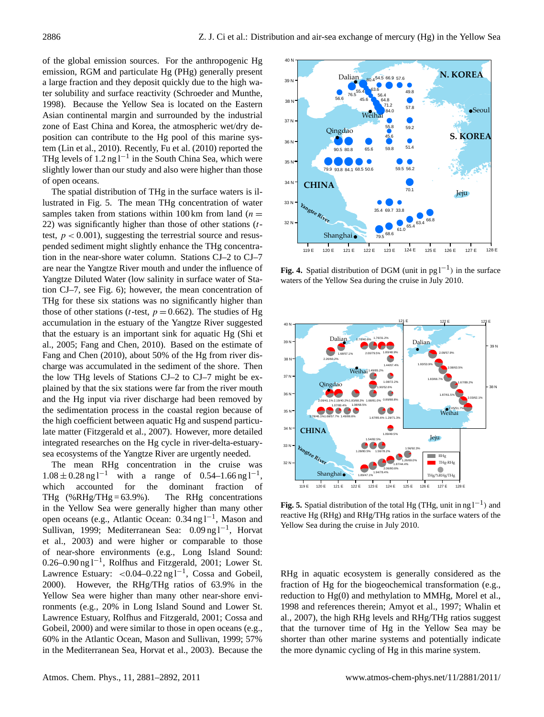of the global emission sources. For the anthropogenic Hg emission, RGM and particulate Hg (PHg) generally present a large fraction and they deposit quickly due to the high water solubility and surface reactivity (Schroeder and Munthe, 1998). Because the Yellow Sea is located on the Eastern Asian continental margin and surrounded by the industrial zone of East China and Korea, the atmospheric wet/dry deposition can contribute to the Hg pool of this marine system (Lin et al., 2010). Recently, Fu et al. (2010) reported the THg levels of  $1.2$  ng l<sup>-1</sup> in the South China Sea, which were slightly lower than our study and also were higher than those of open oceans.

The spatial distribution of THg in the surface waters is illustrated in Fig. 5. The mean THg concentration of water samples taken from stations within 100 km from land ( $n =$ 22) was significantly higher than those of other stations  $(t$ test,  $p < 0.001$ ), suggesting the terrestrial source and resuspended sediment might slightly enhance the THg concentration in the near-shore water column. Stations CJ–2 to CJ–7 1 are near the Yangtze River mouth and under the influence of Yangtze Diluted Water (low salinity in surface water of Sta-2 tion CJ–7, see Fig. 6); however, the mean concentration of THg for these six stations was no significantly higher than those of other stations (*t*-test,  $p = 0.662$ ). The studies of Hg accumulation in the estuary of the Yangtze River suggested that the estuary is an important sink for aquatic Hg (Shi et al., 2005; Fang and Chen, 2010). Based on the estimate of Fang and Chen (2010), about 50% of the Hg from river discharge was accumulated in the sediment of the shore. Then the low THg levels of Stations CJ–2 to CJ–7 might be explained by that the six stations were far from the river mouth and the Hg input via river discharge had been removed by the sedimentation process in the coastal region because of the high coefficient between aquatic Hg and suspend particulate matter (Fitzgerald et al., 2007). However, more detailed integrated researches on the Hg cycle in river-delta-estuarysea ecosystems of the Yangtze River are urgently needed. Figure 4. **Spatial distribution** of DGM (unit in particular surface waters of the surface waters of the surface waters of the surface waters of the surface waters of the surface waters of the surface waters of the surface

The mean RHg concentration in the cruise was  $1.08 \pm 0.28$  ng l<sup>-1</sup> with a range of 0.54–1.66 ng l<sup>-1</sup>, which accounted for the dominant fraction of 1 THg  $(\%RHg/THg = 63.9\%)$ . The RHg concentrations in the Yellow Sea were generally higher than many other 2 open oceans (e.g., Atlantic Ocean: 0.34 ng l<sup>-1</sup>, Mason and Sullivan, 1999; Mediterranean Sea: 0.09 ng l−<sup>1</sup> , Horvat 4 et al., 2003) and were higher or comparable to those of near-shore environments (e.g., Long Island Sound: 0.26–0.90 ng l−<sup>1</sup> , Rolfhus and Fitzgerald, 2001; Lower St. Lawrence Estuary: <0.04–0.22 ng l<sup>-1</sup>, Cossa and Gobeil, 2000). However, the RHg/THg ratios of 63.9% in the Yellow Sea were higher than many other near-shore environments (e.g., 20% in Long Island Sound and Lower St. Lawrence Estuary, Rolfhus and Fitzgerald, 2001; Cossa and Gobeil, 2000) and were similar to those in open oceans (e.g., 60% in the Atlantic Ocean, Mason and Sullivan, 1999; 57% in the Mediterranean Sea, Horvat et al., 2003). Because the



**Fig. 4.** Spatial distribution of DGM (unit in  $pg1^{-1}$ ) in the surface waters of the Yellow Sea during the cruise in July 2010.



**Figure 4.** Figure 6. Spatial distribution of the surface waters of the total reactive Hg (RHg) and RHg/THg ratios in the surface waters of the **Fig. 5.** Spatial distribution of the total Hg (THg, unit in ng  $l^{-1}$ ) and Yellow Sea during the cruise in July 2010.

RHg in aquatic ecosystem is generally considered as the fraction of Hg for the biogeochemical transformation (e.g., reduction to Hg(0) and methylation to MMHg, Morel et al., 1998 and references therein; Amyot et al., 1997; Whalin et al., 2007), the high RHg levels and RHg/THg ratios suggest that the turnover time of Hg in the Yellow Sea may be shorter than other marine systems and potentially indicate the more dynamic cycling of Hg in this marine system.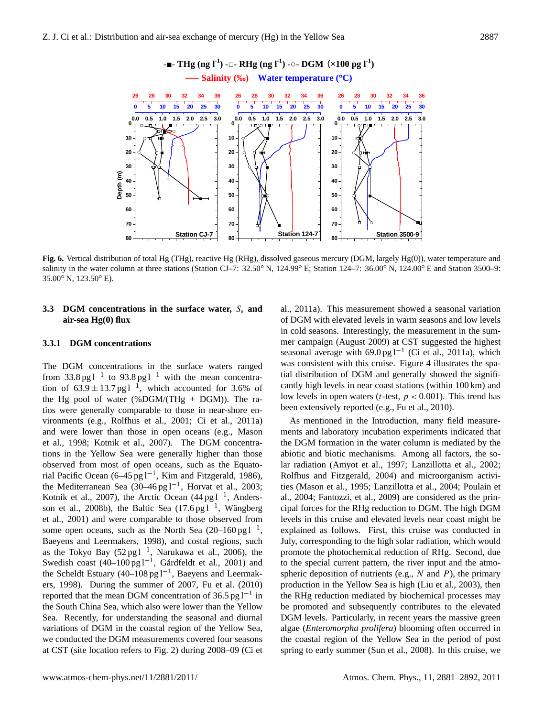

salinity in the water column at three stations (Station CJ-7: 32.50° N, 124.99° E; Station 124-7: 36.00° N, 124.00° E and Station 3500-9: **Fig. 6.** Vertical distribution of total Hg (THg), reactive Hg (RHg), dissolved gaseous mercury (DGM, largely Hg(0)), water temperature and 35.00◦ N, 123.50◦ E).

# **3.3 DGM concentrations in the surface water,**  $S_a$  and al., 2011a). This measurement showed a sease **air-sea Hg(0) flux**

### **3.3.1 DGM concentrations**

The DGM concentrations in the surface waters ranged from 33.8 pg l<sup>-1</sup> to 93.8 pg l<sup>-1</sup> with the mean concentration of  $63.9 \pm 13.7$  pg l<sup>-1</sup>, which accounted for 3.6% of the Hg pool of water (%DGM/(THg  $+$  DGM)). The ratios were generally comparable to those in near-shore environments (e.g., Rolfhus et al., 2001; Ci et al., 2011a) and were lower than those in open oceans (e.g., Mason et al., 1998; Kotnik et al., 2007). The DGM concentrations in the Yellow Sea were generally higher than those observed from most of open oceans, such as the Equatorial Pacific Ocean (6–45 pg l<sup>-1</sup>, Kim and Fitzgerald, 1986), the Mediterranean Sea (30–46 pg l−<sup>1</sup> , Horvat et al., 2003; Kotnik et al., 2007), the Arctic Ocean (44 pg l<sup>-1</sup>, Andersson et al., 2008b), the Baltic Sea (17.6 pg  $l^{-1}$ , Wängberg et al., 2001) and were comparable to those observed from some open oceans, such as the North Sea (20–160 pg  $l^{-1}$ , Baeyens and Leermakers, 1998), and costal regions, such as the Tokyo Bay  $(52 \text{ pg} 1^{-1}$ , Narukawa et al., 2006), the Swedish coast  $(40-100 \text{ pg l}^{-1}$ , Gårdfeldt et al., 2001) and the Scheldt Estuary (40–108 pg l−<sup>1</sup> , Baeyens and Leermakers, 1998). During the summer of 2007, Fu et al. (2010) reported that the mean DGM concentration of 36.5 pg  $l^{-1}$  in the South China Sea, which also were lower than the Yellow Sea. Recently, for understanding the seasonal and diurnal variations of DGM in the coastal region of the Yellow Sea, we conducted the DGM measurements covered four seasons at CST (site location refers to Fig. 2) during 2008–09 (Ci et

in cold seasons. Interestingly, the measurement in the sumal., 2011a). This measurement showed a seasonal variation of DGM with elevated levels in warm seasons and low levels mer campaign (August 2009) at CST suggested the highest seasonal average with 69.0 pg l<sup>-1</sup> (Ci et al., 2011a), which was consistent with this cruise. Figure 4 illustrates the spatial distribution of DGM and generally showed the significantly high levels in near coast stations (within 100 km) and low levels in open waters (*t*-test,  $p < 0.001$ ). This trend has been extensively reported (e.g., Fu et al., 2010).

> As mentioned in the Introduction, many field measurements and laboratory incubation experiments indicated that the DGM formation in the water column is mediated by the abiotic and biotic mechanisms. Among all factors, the solar radiation (Amyot et al., 1997; Lanzillotta et al., 2002; Rolfhus and Fitzgerald, 2004) and microorganism activities (Mason et al., 1995; Lanzillotta et al., 2004; Poulain et al., 2004; Fantozzi, et al., 2009) are considered as the principal forces for the RHg reduction to DGM. The high DGM levels in this cruise and elevated levels near coast might be explained as follows. First, this cruise was conducted in July, corresponding to the high solar radiation, which would promote the photochemical reduction of RHg. Second, due to the special current pattern, the river input and the atmospheric deposition of nutrients (e.g.,  $N$  and  $P$ ), the primary production in the Yellow Sea is high (Liu et al., 2003), then the RHg reduction mediated by biochemical processes may be promoted and subsequently contributes to the elevated DGM levels. Particularly, in recent years the massive green algae (*Enteromorpha prolifera*) blooming often occurred in the coastal region of the Yellow Sea in the period of post spring to early summer (Sun et al., 2008). In this cruise, we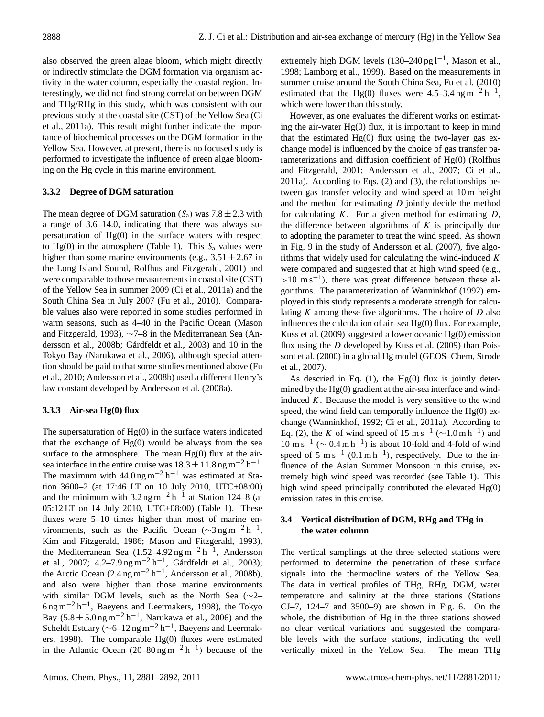also observed the green algae bloom, which might directly or indirectly stimulate the DGM formation via organism activity in the water column, especially the coastal region. Interestingly, we did not find strong correlation between DGM and THg/RHg in this study, which was consistent with our previous study at the coastal site (CST) of the Yellow Sea (Ci et al., 2011a). This result might further indicate the importance of biochemical processes on the DGM formation in the Yellow Sea. However, at present, there is no focused study is performed to investigate the influence of green algae blooming on the Hg cycle in this marine environment.

# **3.3.2 Degree of DGM saturation**

The mean degree of DGM saturation  $(S_a)$  was  $7.8 \pm 2.3$  with a range of 3.6–14.0, indicating that there was always supersaturation of Hg(0) in the surface waters with respect to Hg(0) in the atmosphere (Table 1). This  $S_a$  values were higher than some marine environments (e.g.,  $3.51 \pm 2.67$  in the Long Island Sound, Rolfhus and Fitzgerald, 2001) and were comparable to those measurements in coastal site (CST) of the Yellow Sea in summer 2009 (Ci et al., 2011a) and the South China Sea in July 2007 (Fu et al., 2010). Comparable values also were reported in some studies performed in warm seasons, such as 4–40 in the Pacific Ocean (Mason and Fitzgerald, 1993), ∼7–8 in the Mediterranean Sea (Andersson et al., 2008b; Gårdfeldt et al., 2003) and 10 in the Tokyo Bay (Narukawa et al., 2006), although special attention should be paid to that some studies mentioned above (Fu et al., 2010; Andersson et al., 2008b) used a different Henry's law constant developed by Andersson et al. (2008a).

## **3.3.3 Air-sea Hg(0) flux**

The supersaturation of  $Hg(0)$  in the surface waters indicated that the exchange of  $Hg(0)$  would be always from the sea surface to the atmosphere. The mean  $Hg(0)$  flux at the airsea interface in the entire cruise was  $18.3 \pm 11.8$  ng m<sup>-2</sup> h<sup>-1</sup>. The maximum with  $44.0$  ng m<sup>-2</sup> h<sup>-1</sup> was estimated at Station 3600–2 (at 17:46 LT on 10 July 2010, UTC+08:00) and the minimum with  $3.2 \text{ ng m}^{-2} \text{ h}^{-1}$  at Station 124–8 (at 05:12 LT on 14 July 2010, UTC+08:00) (Table 1). These fluxes were 5–10 times higher than most of marine environments, such as the Pacific Ocean ( $\sim$ 3 ng m<sup>-2</sup> h<sup>-1</sup>, Kim and Fitzgerald, 1986; Mason and Fitzgerald, 1993), the Mediterranean Sea  $(1.52-4.92 \text{ ng m}^{-2} \text{ h}^{-1}$ , Andersson et al., 2007; 4.2–7.9 ng m<sup>-2</sup> h<sup>-1</sup>, Gårdfeldt et al., 2003); the Arctic Ocean  $(2.4 \text{ ng m}^{-2} \text{ h}^{-1}$ , Andersson et al., 2008b), and also were higher than those marine environments with similar DGM levels, such as the North Sea (∼2–  $6$ ng m<sup>-2</sup> h<sup>-1</sup>, Baeyens and Leermakers, 1998), the Tokyo Bay  $(5.8 \pm 5.0 \text{ ng m}^{-2} \text{ h}^{-1}$ , Narukawa et al., 2006) and the Scheldt Estuary ( $\sim$ 6–12 ng m<sup>-2</sup> h<sup>-1</sup>, Baeyens and Leermakers, 1998). The comparable  $Hg(0)$  fluxes were estimated in the Atlantic Ocean (20–80 ng m<sup>-2</sup> h<sup>-1</sup>) because of the

extremely high DGM levels (130–240 pg l<sup>-1</sup>, Mason et al., 1998; Lamborg et al., 1999). Based on the measurements in summer cruise around the South China Sea, Fu et al. (2010) estimated that the Hg(0) fluxes were 4.5–3.4 ng m<sup>-2</sup> h<sup>-1</sup>, which were lower than this study.

However, as one evaluates the different works on estimating the air-water  $Hg(0)$  flux, it is important to keep in mind that the estimated  $Hg(0)$  flux using the two-layer gas exchange model is influenced by the choice of gas transfer parameterizations and diffusion coefficient of Hg(0) (Rolfhus and Fitzgerald, 2001; Andersson et al., 2007; Ci et al., 2011a). According to Eqs. (2) and (3), the relationships between gas transfer velocity and wind speed at 10 m height and the method for estimating  $D$  jointly decide the method for calculating  $K$ . For a given method for estimating  $D$ , the difference between algorithms of  $K$  is principally due to adopting the parameter to treat the wind speed. As shown in Fig. 9 in the study of Andersson et al. (2007), five algorithms that widely used for calculating the wind-induced  $K$ were compared and suggested that at high wind speed (e.g., >10 m s<sup>-1</sup>), there was great difference between these algorithms. The parameterization of Wanninkhof (1992) employed in this study represents a moderate strength for calculating  $K$  among these five algorithms. The choice of  $D$  also influences the calculation of air–sea Hg(0) flux. For example, Kuss et al. (2009) suggested a lower oceanic Hg(0) emission flux using the  $D$  developed by Kuss et al. (2009) than Poissont et al. (2000) in a global Hg model (GEOS–Chem, Strode et al., 2007).

As descried in Eq.  $(1)$ , the Hg $(0)$  flux is jointly determined by the  $Hg(0)$  gradient at the air-sea interface and windinduced  $K$ . Because the model is very sensitive to the wind speed, the wind field can temporally influence the  $Hg(0)$  exchange (Wanninkhof, 1992; Ci et al., 2011a). According to Eq. (2), the K of wind speed of 15 m s<sup>-1</sup> ( $\sim$ 1.0 m h<sup>-1</sup>) and  $10 \text{ m s}^{-1}$  ( $\sim 0.4 \text{ m h}^{-1}$ ) is about 10-fold and 4-fold of wind speed of 5 m s<sup>-1</sup> (0.1 m h<sup>-1</sup>), respectively. Due to the influence of the Asian Summer Monsoon in this cruise, extremely high wind speed was recorded (see Table 1). This high wind speed principally contributed the elevated Hg(0) emission rates in this cruise.

# **3.4 Vertical distribution of DGM, RHg and THg in the water column**

The vertical samplings at the three selected stations were performed to determine the penetration of these surface signals into the thermocline waters of the Yellow Sea. The data in vertical profiles of THg, RHg, DGM, water temperature and salinity at the three stations (Stations CJ–7, 124–7 and 3500–9) are shown in Fig. 6. On the whole, the distribution of Hg in the three stations showed no clear vertical variations and suggested the comparable levels with the surface stations, indicating the well vertically mixed in the Yellow Sea. The mean THg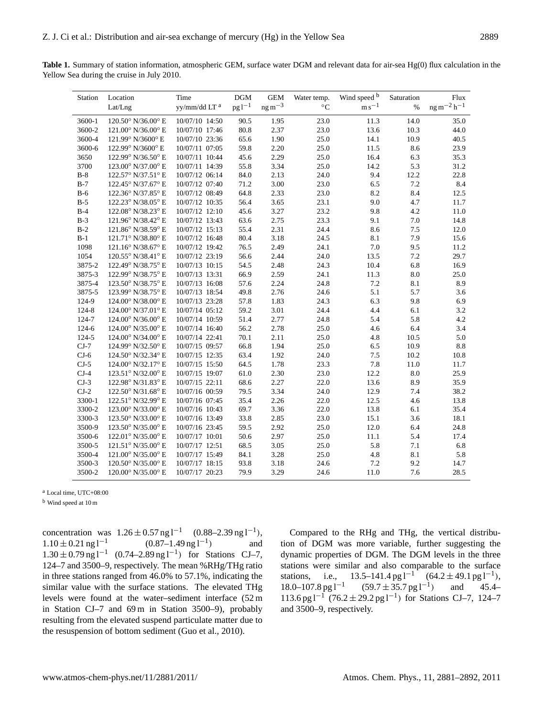**Table 1.** Summary of station information, atmospheric GEM, surface water DGM and relevant data for air-sea Hg(0) flux calculation in the Yellow Sea during the cruise in July 2010.

| Station   | Location                              | Time           | <b>DGM</b> | <b>GEM</b>   | Water temp.     | Wind speed b                  | Saturation | Flux               |
|-----------|---------------------------------------|----------------|------------|--------------|-----------------|-------------------------------|------------|--------------------|
|           | Lat/Lng                               | yy/mm/dd LT a  | $pg1^{-1}$ | $ng\,m^{-3}$ | $\rm ^{\circ}C$ | $\mathrm{m}\,\mathrm{s}^{-1}$ | $\%$       | $ng m^{-2} h^{-1}$ |
| 3600-1    | $120.50^{\circ}$ N/36.00 $^{\circ}$ E | 10/07/10 14:50 | 90.5       | 1.95         | 23.0            | 11.3                          | 14.0       | 35.0               |
| 3600-2    | 121.00° N/36.00° E                    | 10/07/10 17:46 | 80.8       | 2.37         | 23.0            | 13.6                          | 10.3       | 44.0               |
| 3600-4    | 121.99° N/3600° E                     | 10/07/10 23:36 | 65.6       | 1.90         | 25.0            | 14.1                          | 10.9       | 40.5               |
| 3600-6    | 122.99° N/3600° E                     | 10/07/11 07:05 | 59.8       | 2.20         | 25.0            | 11.5                          | 8.6        | 23.9               |
| 3650      | 122.99° N/36.50° E                    | 10/07/11 10:44 | 45.6       | 2.29         | 25.0            | 16.4                          | 6.3        | 35.3               |
| 3700      | 123.00° N/37.00° E                    | 10/07/11 14:39 | 55.8       | 3.34         | 25.0            | 14.2                          | 5.3        | 31.2               |
| $B-8$     | 122.57° N/37.51° E                    | 10/07/12 06:14 | 84.0       | 2.13         | 24.0            | 9.4                           | 12.2       | 22.8               |
| $B-7$     | 122.45° N/37.67° E                    | 10/07/12 07:40 | 71.2       | 3.00         | 23.0            | 6.5                           | 7.2        | 8.4                |
| $B-6$     | 122.36° N/37.85° E                    | 10/07/12 08:49 | 64.8       | 2.33         | 23.0            | 8.2                           | 8.4        | 12.5               |
| $B-5$     | 122.23° N/38.05° E                    | 10/07/12 10:35 | 56.4       | 3.65         | 23.1            | 9.0                           | 4.7        | 11.7               |
| $B-4$     | 122.08° N/38.23° E                    | 10/07/12 12:10 | 45.6       | 3.27         | 23.2            | 9.8                           | 4.2        | 11.0               |
| $B-3$     | 121.96° N/38.42° E                    | 10/07/12 13:43 | 63.6       | 2.75         | 23.3            | 9.1                           | 7.0        | 14.8               |
| $B-2$     | 121.86° N/38.59° E                    | 10/07/12 15:13 | 55.4       | 2.31         | 24.4            | 8.6                           | 7.5        | 12.0               |
| $B-1$     | 121.71° N/38.80° E                    | 10/07/12 16:48 | 80.4       | 3.18         | 24.5            | 8.1                           | 7.9        | 15.6               |
| 1098      | 121.16° N/38.67° E                    | 10/07/12 19:42 | 76.5       | 2.49         | 24.1            | 7.0                           | 9.5        | 11.2               |
| 1054      | 120.55° N/38.41° E                    | 10/07/12 23:19 | 56.6       | 2.44         | 24.0            | 13.5                          | 7.2        | 29.7               |
| 3875-2    | 122.49° N/38.75° E                    | 10/07/13 10:15 | 54.5       | 2.48         | 24.3            | 10.4                          | 6.8        | 16.9               |
| 3875-3    | 122.99° N/38.75° E                    | 10/07/13 13:31 | 66.9       | 2.59         | 24.1            | 11.3                          | 8.0        | 25.0               |
| 3875-4    | 123.50° N/38.75° E                    | 10/07/13 16:08 | 57.6       | 2.24         | 24.8            | 7.2                           | 8.1        | 8.9                |
| 3875-5    | 123.99° N/38.75° E                    | 10/07/13 18:54 | 49.8       | 2.76         | 24.6            | 5.1                           | 5.7        | 3.6                |
| 124-9     | $124.00^{\circ}$ N/38.00 $^{\circ}$ E | 10/07/13 23:28 | 57.8       | 1.83         | 24.3            | 6.3                           | 9.8        | 6.9                |
| 124-8     | 124.00° N/37.01° E                    | 10/07/14 05:12 | 59.2       | 3.01         | 24.4            | 4.4                           | 6.1        | 3.2                |
| 124-7     | 124.00° N/36.00° E                    | 10/07/14 10:59 | 51.4       | 2.77         | 24.8            | 5.4                           | 5.8        | 4.2                |
| $124 - 6$ | 124.00° N/35.00° E                    | 10/07/14 16:40 | 56.2       | 2.78         | 25.0            | 4.6                           | 6.4        | 3.4                |
| $124 - 5$ | 124.00° N/34.00° E                    | 10/07/14 22:41 | 70.1       | 2.11         | 25.0            | 4.8                           | 10.5       | 5.0                |
| $CJ-7$    | 124.99° N/32.50° E                    | 10/07/15 09:57 | 66.8       | 1.94         | 25.0            | 6.5                           | 10.9       | 8.8                |
| $CJ-6$    | 124.50° N/32.34° E                    | 10/07/15 12:35 | 63.4       | 1.92         | 24.0            | 7.5                           | 10.2       | 10.8               |
| $CJ-5$    | 124.00° N/32.17° E                    | 10/07/15 15:50 | 64.5       | 1.78         | 23.3            | 7.8                           | 11.0       | 11.7               |
| $CJ-4$    | 123.51° N/32.00° E                    | 10/07/15 19:07 | 61.0       | 2.30         | 23.0            | 12.2                          | 8.0        | 25.9               |
| $CJ-3$    | 122.98° N/31.83° E                    | 10/07/15 22:11 | 68.6       | 2.27         | 22.0            | 13.6                          | 8.9        | 35.9               |
| $CJ-2$    | 122.50° N/31.68° E                    | 10/07/16 00:59 | 79.5       | 3.34         | 24.0            | 12.9                          | 7.4        | 38.2               |
| 3300-1    | 122.51° N/32.99° E                    | 10/07/16 07:45 | 35.4       | 2.26         | 22.0            | 12.5                          | 4.6        | 13.8               |
| 3300-2    | 123.00° N/33.00° E                    | 10/07/16 10:43 | 69.7       | 3.36         | 22.0            | 13.8                          | 6.1        | 35.4               |
| 3300-3    | 123.50° N/33.00° E                    | 10/07/16 13:49 | 33.8       | 2.85         | 23.0            | 15.1                          | 3.6        | 18.1               |
| 3500-9    | 123.50° N/35.00° E                    | 10/07/16 23:45 | 59.5       | 2.92         | 25.0            | 12.0                          | 6.4        | 24.8               |
| 3500-6    | 122.01° N/35.00° E                    | 10/07/17 10:01 | 50.6       | 2.97         | 25.0            | 11.1                          | 5.4        | 17.4               |
| 3500-5    | 121.51° N/35.00° E                    | 10/07/17 12:51 | 68.5       | 3.05         | 25.0            | 5.8                           | 7.1        | 6.8                |
| 3500-4    | 121.00° N/35.00° E                    | 10/07/17 15:49 | 84.1       | 3.28         | 25.0            | 4.8                           | 8.1        | 5.8                |
| 3500-3    | 120.50° N/35.00° E                    | 10/07/17 18:15 | 93.8       | 3.18         | 24.6            | 7.2                           | 9.2        | 14.7               |
| 3500-2    | 120.00° N/35.00° E                    | 10/07/17 20:23 | 79.9       | 3.29         | 24.6            | 11.0                          | 7.6        | 28.5               |

<sup>a</sup> Local time, UTC+08:00

<sup>b</sup> Wind speed at 10 m

concentration was  $1.26 \pm 0.57$  ng l<sup>-1</sup> (0.88–2.39 ng l<sup>-1</sup>),  $1.10 \pm 0.21$  ng l<sup>-1</sup>  $(0.87–1.49$  ng l<sup>-1</sup>) ) and 1.30 ± 0.79 ng l<sup>-1</sup> (0.74–2.89 ng l<sup>-1</sup>) for Stations CJ-7, 124–7 and 3500–9, respectively. The mean %RHg/THg ratio in three stations ranged from 46.0% to 57.1%, indicating the similar value with the surface stations. The elevated THg levels were found at the water–sediment interface (52 m in Station CJ–7 and 69 m in Station 3500–9), probably resulting from the elevated suspend particulate matter due to the resuspension of bottom sediment (Guo et al., 2010).

Compared to the RHg and THg, the vertical distribution of DGM was more variable, further suggesting the dynamic properties of DGM. The DGM levels in the three stations were similar and also comparable to the surface stations, i.e.,  $13.5-141.4$  pg  $l^{-1}$   $(64.2 \pm 49.1$  pg  $l^{-1})$ ,  $18.0-107.8$  pg  $1^{-1}$  $(59.7 \pm 35.7 \,\text{pg}\,\text{1}^{-1})$ ) and 45.4– 113.6 pg l−<sup>1</sup> (76.2 ± 29.2 pg l−<sup>1</sup> ) for Stations CJ–7, 124–7 and 3500–9, respectively.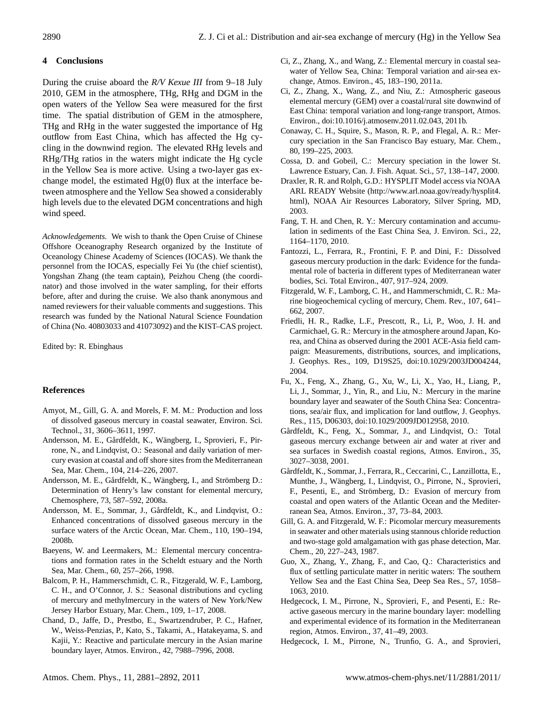# **4 Conclusions**

During the cruise aboard the *R/V Kexue III* from 9–18 July 2010, GEM in the atmosphere, THg, RHg and DGM in the open waters of the Yellow Sea were measured for the first time. The spatial distribution of GEM in the atmosphere, THg and RHg in the water suggested the importance of Hg outflow from East China, which has affected the Hg cycling in the downwind region. The elevated RHg levels and RHg/THg ratios in the waters might indicate the Hg cycle in the Yellow Sea is more active. Using a two-layer gas exchange model, the estimated  $Hg(0)$  flux at the interface between atmosphere and the Yellow Sea showed a considerably high levels due to the elevated DGM concentrations and high wind speed.

*Acknowledgements.* We wish to thank the Open Cruise of Chinese Offshore Oceanography Research organized by the Institute of Oceanology Chinese Academy of Sciences (IOCAS). We thank the personnel from the IOCAS, especially Fei Yu (the chief scientist), Yongshan Zhang (the team captain), Peizhou Cheng (the coordinator) and those involved in the water sampling, for their efforts before, after and during the cruise. We also thank anonymous and named reviewers for their valuable comments and suggestions. This research was funded by the National Natural Science Foundation of China (No. 40803033 and 41073092) and the KIST–CAS project.

Edited by: R. Ebinghaus

# **References**

- Amyot, M., Gill, G. A. and Morels, F. M. M.: Production and loss of dissolved gaseous mercury in coastal seawater, Environ. Sci. Technol., 31, 3606–3611, 1997.
- Andersson, M. E., Gårdfeldt, K., Wängberg, I., Sprovieri, F., Pirrone, N., and Lindqvist, O.: Seasonal and daily variation of mercury evasion at coastal and off shore sites from the Mediterranean Sea, Mar. Chem., 104, 214–226, 2007.
- Andersson, M. E., Gårdfeldt, K., Wängberg, I., and Strömberg D.: Determination of Henry's law constant for elemental mercury, Chemosphere, 73, 587–592, 2008a.
- Andersson, M. E., Sommar, J., Gårdfeldt, K., and Lindqvist, O.: Enhanced concentrations of dissolved gaseous mercury in the surface waters of the Arctic Ocean, Mar. Chem., 110, 190–194, 2008b.
- Baeyens, W. and Leermakers, M.: Elemental mercury concentrations and formation rates in the Scheldt estuary and the North Sea, Mar. Chem., 60, 257–266, 1998.
- Balcom, P. H., Hammerschmidt, C. R., Fitzgerald, W. F., Lamborg, C. H., and O'Connor, J. S.: Seasonal distributions and cycling of mercury and methylmercury in the waters of New York/New Jersey Harbor Estuary, Mar. Chem., 109, 1–17, 2008.
- Chand, D., Jaffe, D., Prestbo, E., Swartzendruber, P. C., Hafner, W., Weiss-Penzias, P., Kato, S., Takami, A., Hatakeyama, S. and Kajii, Y.: Reactive and particulate mercury in the Asian marine boundary layer, Atmos. Environ., 42, 7988–7996, 2008.
- Ci, Z., Zhang, X., and Wang, Z.: Elemental mercury in coastal seawater of Yellow Sea, China: Temporal variation and air-sea exchange, Atmos. Environ., 45, 183–190, 2011a.
- Ci, Z., Zhang, X., Wang, Z., and Niu, Z.: Atmospheric gaseous elemental mercury (GEM) over a coastal/rural site downwind of East China: temporal variation and long-range transport, Atmos. Environ., [doi:10.1016/j.atmosenv.2011.02.043,](http://dx.doi.org/10.1016/j.atmosenv.2011.02.043) 2011b.
- Conaway, C. H., Squire, S., Mason, R. P., and Flegal, A. R.: Mercury speciation in the San Francisco Bay estuary, Mar. Chem., 80, 199–225, 2003.
- Cossa, D. and Gobeil, C.: Mercury speciation in the lower St. Lawrence Estuary, Can. J. Fish. Aquat. Sci., 57, 138–147, 2000.
- Draxler, R. R. and Rolph, G.D.: HYSPLIT Model access via NOAA ARL READY Website [\(http://www.arl.noaa.gov/ready/hysplit4.](http://www.arl.noaa.gov/ready/hysplit4.html) [html\)](http://www.arl.noaa.gov/ready/hysplit4.html), NOAA Air Resources Laboratory, Silver Spring, MD, 2003.
- Fang, T. H. and Chen, R. Y.: Mercury contamination and accumulation in sediments of the East China Sea, J. Environ. Sci., 22, 1164–1170, 2010.
- Fantozzi, L., Ferrara, R., Frontini, F. P. and Dini, F.: Dissolved gaseous mercury production in the dark: Evidence for the fundamental role of bacteria in different types of Mediterranean water bodies, Sci. Total Environ., 407, 917–924, 2009.
- Fitzgerald, W. F., Lamborg, C. H., and Hammerschmidt, C. R.: Marine biogeochemical cycling of mercury, Chem. Rev., 107, 641– 662, 2007.
- Friedli, H. R., Radke, L.F., Prescott, R., Li, P., Woo, J. H. and Carmichael, G. R.: Mercury in the atmosphere around Japan, Korea, and China as observed during the 2001 ACE-Asia field campaign: Measurements, distributions, sources, and implications, J. Geophys. Res., 109, D19S25, [doi:10.1029/2003JD004244,](http://dx.doi.org/10.1029/2003JD004244) 2004.
- Fu, X., Feng, X., Zhang, G., Xu, W., Li, X., Yao, H., Liang, P., Li, J., Sommar, J., Yin, R., and Liu, N.: Mercury in the marine boundary layer and seawater of the South China Sea: Concentrations, sea/air flux, and implication for land outflow, J. Geophys. Res., 115, D06303, [doi:10.1029/2009JD012958,](http://dx.doi.org/10.1029/2009JD012958) 2010.
- Gårdfeldt, K., Feng, X., Sommar, J., and Lindqvist, O.: Total gaseous mercury exchange between air and water at river and sea surfaces in Swedish coastal regions, Atmos. Environ., 35, 3027–3038, 2001.
- Gårdfeldt, K., Sommar, J., Ferrara, R., Ceccarini, C., Lanzillotta, E., Munthe, J., Wängberg, I., Lindqvist, O., Pirrone, N., Sprovieri, F., Pesenti, E., and Strömberg, D.: Evasion of mercury from coastal and open waters of the Atlantic Ocean and the Mediterranean Sea, Atmos. Environ., 37, 73–84, 2003.
- Gill, G. A. and Fitzgerald, W. F.: Picomolar mercury measurements in seawater and other materials using stannous chloride reduction and two-stage gold amalgamation with gas phase detection, Mar. Chem., 20, 227–243, 1987.
- Guo, X., Zhang, Y., Zhang, F., and Cao, Q.: Characteristics and flux of settling particulate matter in neritic waters: The southern Yellow Sea and the East China Sea, Deep Sea Res., 57, 1058– 1063, 2010.
- Hedgecock, I. M., Pirrone, N., Sprovieri, F., and Pesenti, E.: Reactive gaseous mercury in the marine boundary layer: modelling and experimental evidence of its formation in the Mediterranean region, Atmos. Environ., 37, 41–49, 2003.
- Hedgecock, I. M., Pirrone, N., Trunfio, G. A., and Sprovieri,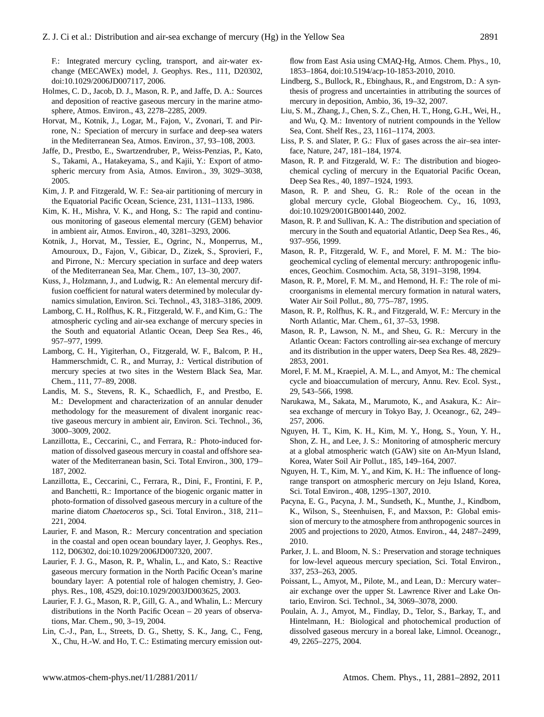F.: Integrated mercury cycling, transport, and air-water exchange (MECAWEx) model, J. Geophys. Res., 111, D20302, [doi:10.1029/2006JD007117,](http://dx.doi.org/10.1029/2006JD007117) 2006.

- Holmes, C. D., Jacob, D. J., Mason, R. P., and Jaffe, D. A.: Sources and deposition of reactive gaseous mercury in the marine atmosphere, Atmos. Environ., 43, 2278–2285, 2009.
- Horvat, M., Kotnik, J., Logar, M., Fajon, V., Zvonari, T. and Pirrone, N.: Speciation of mercury in surface and deep-sea waters in the Mediterranean Sea, Atmos. Environ., 37, 93–108, 2003.
- Jaffe, D., Prestbo, E., Swartzendruber, P., Weiss-Penzias, P., Kato, S., Takami, A., Hatakeyama, S., and Kajii, Y.: Export of atmospheric mercury from Asia, Atmos. Environ., 39, 3029–3038, 2005.
- Kim, J. P. and Fitzgerald, W. F.: Sea-air partitioning of mercury in the Equatorial Pacific Ocean, Science, 231, 1131–1133, 1986.
- Kim, K. H., Mishra, V. K., and Hong, S.: The rapid and continuous monitoring of gaseous elemental mercury (GEM) behavior in ambient air, Atmos. Environ., 40, 3281–3293, 2006.
- Kotnik, J., Horvat, M., Tessier, E., Ogrinc, N., Monperrus, M., Amouroux, D., Fajon, V., Gibicar, D., Zizek, S., Sprovieri, F., and Pirrone, N.: Mercury speciation in surface and deep waters of the Mediterranean Sea, Mar. Chem., 107, 13–30, 2007.
- Kuss, J., Holzmann, J., and Ludwig, R.: An elemental mercury diffusion coefficient for natural waters determined by molecular dynamics simulation, Environ. Sci. Technol., 43, 3183–3186, 2009.
- Lamborg, C. H., Rolfhus, K. R., Fitzgerald, W. F., and Kim, G.: The atmospheric cycling and air-sea exchange of mercury species in the South and equatorial Atlantic Ocean, Deep Sea Res., 46, 957–977, 1999.
- Lamborg, C. H., Yigiterhan, O., Fitzgerald, W. F., Balcom, P. H., Hammerschmidt, C. R., and Murray, J.: Vertical distribution of mercury species at two sites in the Western Black Sea, Mar. Chem., 111, 77–89, 2008.
- Landis, M. S., Stevens, R. K., Schaedlich, F., and Prestbo, E. M.: Development and characterization of an annular denuder methodology for the measurement of divalent inorganic reactive gaseous mercury in ambient air, Environ. Sci. Technol., 36, 3000–3009, 2002.
- Lanzillotta, E., Ceccarini, C., and Ferrara, R.: Photo-induced formation of dissolved gaseous mercury in coastal and offshore seawater of the Mediterranean basin, Sci. Total Environ., 300, 179– 187, 2002.
- Lanzillotta, E., Ceccarini, C., Ferrara, R., Dini, F., Frontini, F. P., and Banchetti, R.: Importance of the biogenic organic matter in photo-formation of dissolved gaseous mercury in a culture of the marine diatom *Chaetoceros* sp., Sci. Total Environ., 318, 211– 221, 2004.
- Laurier, F. and Mason, R.: Mercury concentration and speciation in the coastal and open ocean boundary layer, J. Geophys. Res., 112, D06302, [doi:10.1029/2006JD007320,](http://dx.doi.org/10.1029/2006JD007320) 2007.
- Laurier, F. J. G., Mason, R. P., Whalin, L., and Kato, S.: Reactive gaseous mercury formation in the North Pacific Ocean's marine boundary layer: A potential role of halogen chemistry, J. Geophys. Res., 108, 4529, [doi:10.1029/2003JD003625,](http://dx.doi.org/10.1029/2003JD003625) 2003.
- Laurier, F. J. G., Mason, R. P., Gill, G. A., and Whalin, L.: Mercury distributions in the North Pacific Ocean – 20 years of observations, Mar. Chem., 90, 3–19, 2004.
- Lin, C.-J., Pan, L., Streets, D. G., Shetty, S. K., Jang, C., Feng, X., Chu, H.-W. and Ho, T. C.: Estimating mercury emission out-

flow from East Asia using CMAQ-Hg, Atmos. Chem. Phys., 10, 1853–1864, [doi:10.5194/acp-10-1853-2010,](http://dx.doi.org/10.5194/acp-10-1853-2010) 2010.

- Lindberg, S., Bullock, R., Ebinghaus, R., and Engstrom, D.: A synthesis of progress and uncertainties in attributing the sources of mercury in deposition, Ambio, 36, 19–32, 2007.
- Liu, S. M., Zhang, J., Chen, S. Z., Chen, H. T., Hong, G.H., Wei, H., and Wu, Q. M.: Inventory of nutrient compounds in the Yellow Sea, Cont. Shelf Res., 23, 1161–1174, 2003.
- Liss, P. S. and Slater, P. G.: Flux of gases across the air–sea interface, Nature, 247, 181–184, 1974.
- Mason, R. P. and Fitzgerald, W. F.: The distribution and biogeochemical cycling of mercury in the Equatorial Pacific Ocean, Deep Sea Res., 40, 1897–1924, 1993.
- Mason, R. P. and Sheu, G. R.: Role of the ocean in the global mercury cycle, Global Biogeochem. Cy., 16, 1093, [doi:10.1029/2001GB001440,](http://dx.doi.org/10.1029/2001GB001440) 2002.
- Mason, R. P. and Sullivan, K. A.: The distribution and speciation of mercury in the South and equatorial Atlantic, Deep Sea Res., 46, 937–956, 1999.
- Mason, R. P., Fitzgerald, W. F., and Morel, F. M. M.: The biogeochemical cycling of elemental mercury: anthropogenic influences, Geochim. Cosmochim. Acta, 58, 3191–3198, 1994.
- Mason, R. P., Morel, F. M. M., and Hemond, H. F.: The role of microorganisms in elemental mercury formation in natural waters, Water Air Soil Pollut., 80, 775–787, 1995.
- Mason, R. P., Rolfhus, K. R., and Fitzgerald, W. F.: Mercury in the North Atlantic, Mar. Chem., 61, 37–53, 1998.
- Mason, R. P., Lawson, N. M., and Sheu, G. R.: Mercury in the Atlantic Ocean: Factors controlling air-sea exchange of mercury and its distribution in the upper waters, Deep Sea Res. 48, 2829– 2853, 2001.
- Morel, F. M. M., Kraepiel, A. M. L., and Amyot, M.: The chemical cycle and bioaccumulation of mercury, Annu. Rev. Ecol. Syst., 29, 543–566, 1998.
- Narukawa, M., Sakata, M., Marumoto, K., and Asakura, K.: Air– sea exchange of mercury in Tokyo Bay, J. Oceanogr., 62, 249– 257, 2006.
- Nguyen, H. T., Kim, K. H., Kim, M. Y., Hong, S., Youn, Y. H., Shon, Z. H., and Lee, J. S.: Monitoring of atmospheric mercury at a global atmospheric watch (GAW) site on An-Myun Island, Korea, Water Soil Air Pollut., 185, 149–164, 2007.
- Nguyen, H. T., Kim, M. Y., and Kim, K. H.: The influence of longrange transport on atmospheric mercury on Jeju Island, Korea, Sci. Total Environ., 408, 1295–1307, 2010.
- Pacyna, E. G., Pacyna, J. M., Sundseth, K., Munthe, J., Kindbom, K., Wilson, S., Steenhuisen, F., and Maxson, P.: Global emission of mercury to the atmosphere from anthropogenic sources in 2005 and projections to 2020, Atmos. Environ., 44, 2487–2499, 2010.
- Parker, J. L. and Bloom, N. S.: Preservation and storage techniques for low-level aqueous mercury speciation, Sci. Total Environ., 337, 253–263, 2005.
- Poissant, L., Amyot, M., Pilote, M., and Lean, D.: Mercury water– air exchange over the upper St. Lawrence River and Lake Ontario, Environ. Sci. Technol., 34, 3069–3078, 2000.
- Poulain, A. J., Amyot, M., Findlay, D., Telor, S., Barkay, T., and Hintelmann, H.: Biological and photochemical production of dissolved gaseous mercury in a boreal lake, Limnol. Oceanogr., 49, 2265–2275, 2004.